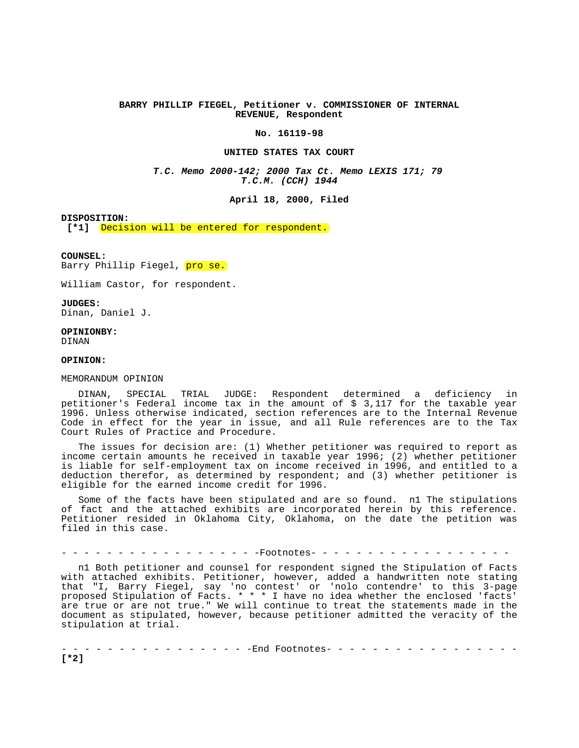# **BARRY PHILLIP FIEGEL, Petitioner v. COMMISSIONER OF INTERNAL REVENUE, Respondent**

#### **No. 16119-98**

## **UNITED STATES TAX COURT**

**T.C. Memo 2000-142; 2000 Tax Ct. Memo LEXIS 171; 79 T.C.M. (CCH) 1944**

**April 18, 2000, Filed** 

#### **DISPOSITION:**

[\*1] **Decision will be entered for respondent.** 

#### **COUNSEL:**

Barry Phillip Fiegel, pro se.

William Castor, for respondent.

**JUDGES:**  Dinan, Daniel J.

**OPINIONBY:**  DINAN

**OPINION:** 

### MEMORANDUM OPINION

DINAN, SPECIAL TRIAL JUDGE: Respondent determined a deficiency in petitioner's Federal income tax in the amount of \$ 3,117 for the taxable year 1996. Unless otherwise indicated, section references are to the Internal Revenue Code in effect for the year in issue, and all Rule references are to the Tax Court Rules of Practice and Procedure.

The issues for decision are: (1) Whether petitioner was required to report as income certain amounts he received in taxable year 1996; (2) whether petitioner is liable for self-employment tax on income received in 1996, and entitled to a deduction therefor, as determined by respondent; and (3) whether petitioner is eligible for the earned income credit for 1996.

Some of the facts have been stipulated and are so found. n1 The stipulations of fact and the attached exhibits are incorporated herein by this reference. Petitioner resided in Oklahoma City, Oklahoma, on the date the petition was filed in this case.

- - - - - - - - - - - - - - - - - -Footnotes- - - - - - - - - - - - - - - - - -

n1 Both petitioner and counsel for respondent signed the Stipulation of Facts with attached exhibits. Petitioner, however, added a handwritten note stating that "I, Barry Fiegel, say 'no contest' or 'nolo contendre' to this 3-page proposed Stipulation of Facts. \* \* \* I have no idea whether the enclosed 'facts' are true or are not true." We will continue to treat the statements made in the document as stipulated, however, because petitioner admitted the veracity of the stipulation at trial.

- - - - - - - - - - - - - - - - -End Footnotes- - - - - - - - - - - - - - - - - **[\*2]**